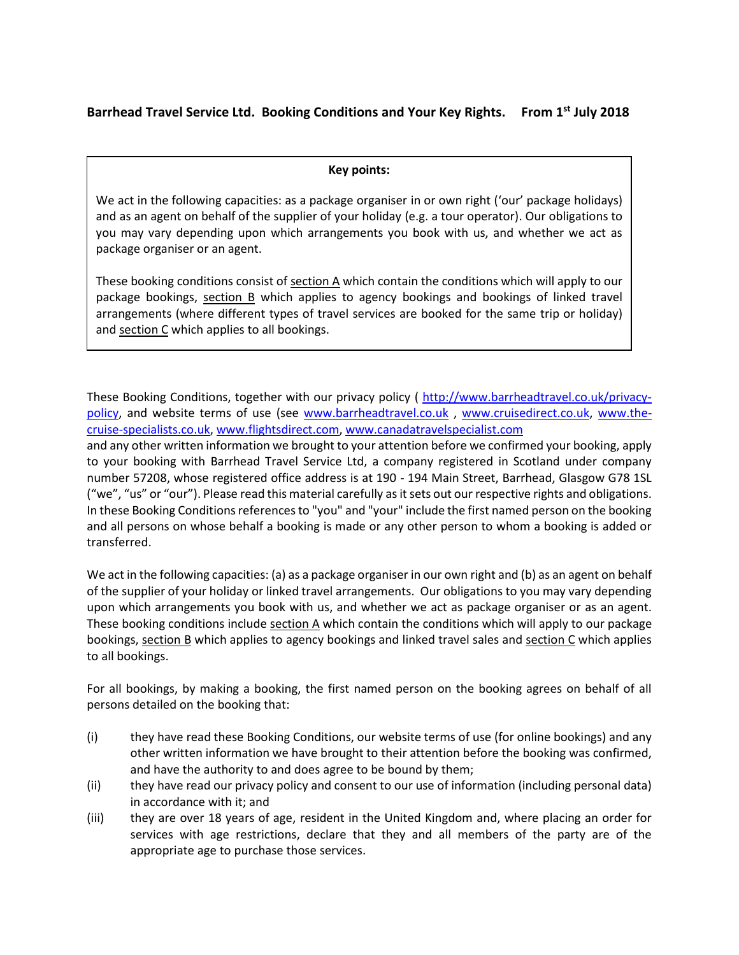# **Barrhead Travel Service Ltd. Booking Conditions and Your Key Rights. From 1st July 2018**

#### **Key points:**

We act in the following capacities: as a package organiser in or own right ('our' package holidays) and as an agent on behalf of the supplier of your holiday (e.g. a tour operator). Our obligations to you may vary depending upon which arrangements you book with us, and whether we act as package organiser or an agent.

These booking conditions consist of section A which contain the conditions which will apply to our package bookings, section B which applies to agency bookings and bookings of linked travel arrangements (where different types of travel services are booked for the same trip or holiday) and section C which applies to all bookings.

These Booking Conditions, together with our privacy policy ( [http://www.barrheadtravel.co.uk/privacy](http://www.barrheadtravel.co.uk/privacy-policy)[policy,](http://www.barrheadtravel.co.uk/privacy-policy) and website terms of use (see [www.barrheadtravel.co.uk](http://www.barrheadtravel.co.uk/) , [www.cruisedirect.co.uk,](http://www.cruisedirect.co.uk/) [www.the](http://www.the-cruise-specialists.co.uk/)[cruise-specialists.co.uk,](http://www.the-cruise-specialists.co.uk/) [www.flightsdirect.com,](http://www.flightsdirect.com/) [www.canadatravelspecialist.com](http://www.canadatravelspecialist.com/)

and any other written information we brought to your attention before we confirmed your booking, apply to your booking with Barrhead Travel Service Ltd, a company registered in Scotland under company number 57208, whose registered office address is at 190 - 194 Main Street, Barrhead, Glasgow G78 1SL ("we", "us" or "our"). Please read this material carefully as it sets out our respective rights and obligations. In these Booking Conditions references to "you" and "your" include the first named person on the booking and all persons on whose behalf a booking is made or any other person to whom a booking is added or transferred.

We act in the following capacities: (a) as a package organiser in our own right and (b) as an agent on behalf of the supplier of your holiday or linked travel arrangements. Our obligations to you may vary depending upon which arrangements you book with us, and whether we act as package organiser or as an agent. These booking conditions include section A which contain the conditions which will apply to our package bookings, section B which applies to agency bookings and linked travel sales and section C which applies to all bookings.

For all bookings, by making a booking, the first named person on the booking agrees on behalf of all persons detailed on the booking that:

- (i) they have read these Booking Conditions, our website terms of use (for online bookings) and any other written information we have brought to their attention before the booking was confirmed, and have the authority to and does agree to be bound by them;
- (ii) they have read our privacy policy and consent to our use of information (including personal data) in accordance with it; and
- (iii) they are over 18 years of age, resident in the United Kingdom and, where placing an order for services with age restrictions, declare that they and all members of the party are of the appropriate age to purchase those services.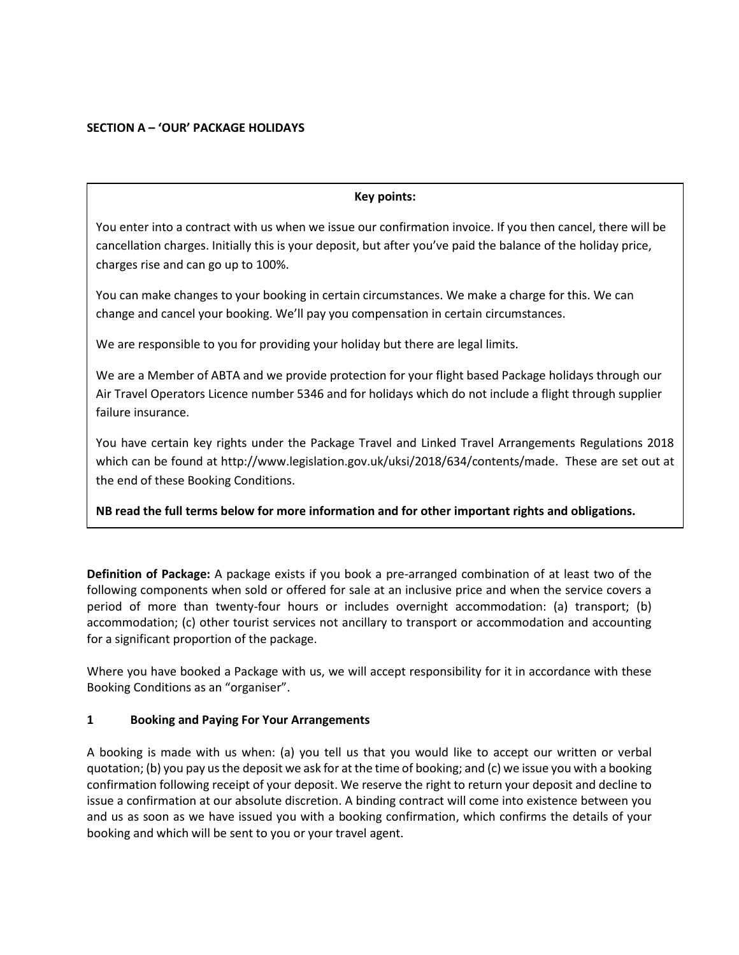#### **SECTION A – 'OUR' PACKAGE HOLIDAYS**

#### **Key points:**

You enter into a contract with us when we issue our confirmation invoice. If you then cancel, there will be cancellation charges. Initially this is your deposit, but after you've paid the balance of the holiday price, charges rise and can go up to 100%.

You can make changes to your booking in certain circumstances. We make a charge for this. We can change and cancel your booking. We'll pay you compensation in certain circumstances.

We are responsible to you for providing your holiday but there are legal limits.

We are a Member of ABTA and we provide protection for your flight based Package holidays through our Air Travel Operators Licence number 5346 and for holidays which do not include a flight through supplier failure insurance.

You have certain key rights under the Package Travel and Linked Travel Arrangements Regulations 2018 which can be found at http://www.legislation.gov.uk/uksi/2018/634/contents/made. These are set out at the end of these Booking Conditions.

**NB read the full terms below for more information and for other important rights and obligations.**

**Definition of Package:** A package exists if you book a pre-arranged combination of at least two of the following components when sold or offered for sale at an inclusive price and when the service covers a period of more than twenty-four hours or includes overnight accommodation: (a) transport; (b) accommodation; (c) other tourist services not ancillary to transport or accommodation and accounting for a significant proportion of the package.

Where you have booked a Package with us, we will accept responsibility for it in accordance with these Booking Conditions as an "organiser".

#### **1 Booking and Paying For Your Arrangements**

A booking is made with us when: (a) you tell us that you would like to accept our written or verbal quotation; (b) you pay us the deposit we ask for at the time of booking; and (c) we issue you with a booking confirmation following receipt of your deposit. We reserve the right to return your deposit and decline to issue a confirmation at our absolute discretion. A binding contract will come into existence between you and us as soon as we have issued you with a booking confirmation, which confirms the details of your booking and which will be sent to you or your travel agent.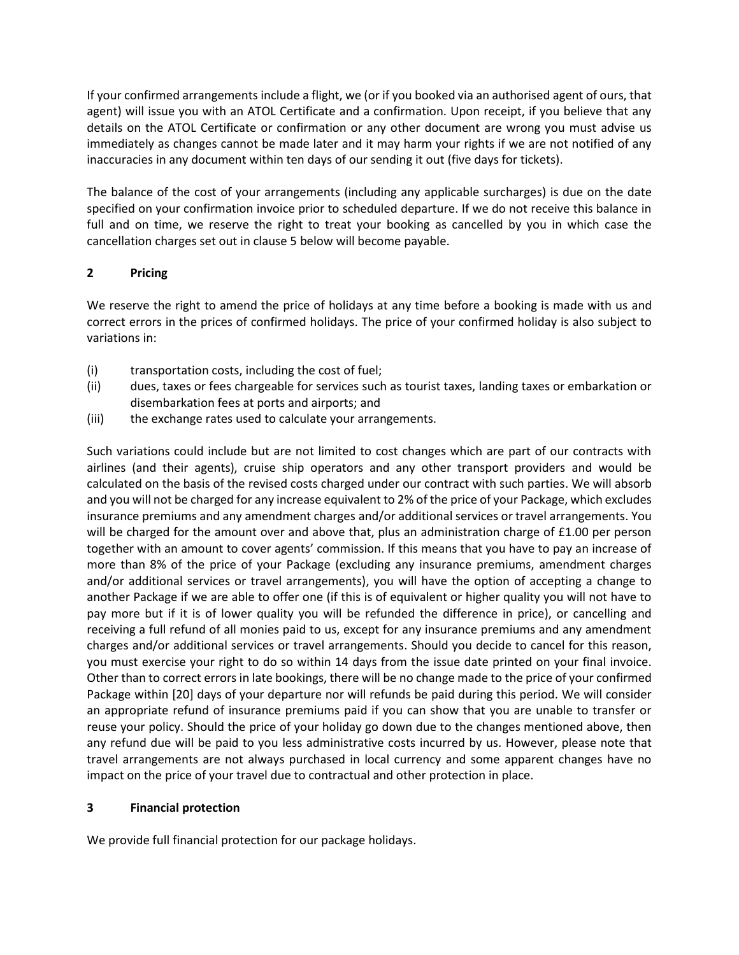If your confirmed arrangements include a flight, we (or if you booked via an authorised agent of ours, that agent) will issue you with an ATOL Certificate and a confirmation. Upon receipt, if you believe that any details on the ATOL Certificate or confirmation or any other document are wrong you must advise us immediately as changes cannot be made later and it may harm your rights if we are not notified of any inaccuracies in any document within ten days of our sending it out (five days for tickets).

The balance of the cost of your arrangements (including any applicable surcharges) is due on the date specified on your confirmation invoice prior to scheduled departure. If we do not receive this balance in full and on time, we reserve the right to treat your booking as cancelled by you in which case the cancellation charges set out in clause 5 below will become payable.

## **2 Pricing**

We reserve the right to amend the price of holidays at any time before a booking is made with us and correct errors in the prices of confirmed holidays. The price of your confirmed holiday is also subject to variations in:

- (i) transportation costs, including the cost of fuel;
- (ii) dues, taxes or fees chargeable for services such as tourist taxes, landing taxes or embarkation or disembarkation fees at ports and airports; and
- (iii) the exchange rates used to calculate your arrangements.

Such variations could include but are not limited to cost changes which are part of our contracts with airlines (and their agents), cruise ship operators and any other transport providers and would be calculated on the basis of the revised costs charged under our contract with such parties. We will absorb and you will not be charged for any increase equivalent to 2% of the price of your Package, which excludes insurance premiums and any amendment charges and/or additional services or travel arrangements. You will be charged for the amount over and above that, plus an administration charge of £1.00 per person together with an amount to cover agents' commission. If this means that you have to pay an increase of more than 8% of the price of your Package (excluding any insurance premiums, amendment charges and/or additional services or travel arrangements), you will have the option of accepting a change to another Package if we are able to offer one (if this is of equivalent or higher quality you will not have to pay more but if it is of lower quality you will be refunded the difference in price), or cancelling and receiving a full refund of all monies paid to us, except for any insurance premiums and any amendment charges and/or additional services or travel arrangements. Should you decide to cancel for this reason, you must exercise your right to do so within 14 days from the issue date printed on your final invoice. Other than to correct errors in late bookings, there will be no change made to the price of your confirmed Package within [20] days of your departure nor will refunds be paid during this period. We will consider an appropriate refund of insurance premiums paid if you can show that you are unable to transfer or reuse your policy. Should the price of your holiday go down due to the changes mentioned above, then any refund due will be paid to you less administrative costs incurred by us. However, please note that travel arrangements are not always purchased in local currency and some apparent changes have no impact on the price of your travel due to contractual and other protection in place.

#### **3 Financial protection**

We provide full financial protection for our package holidays.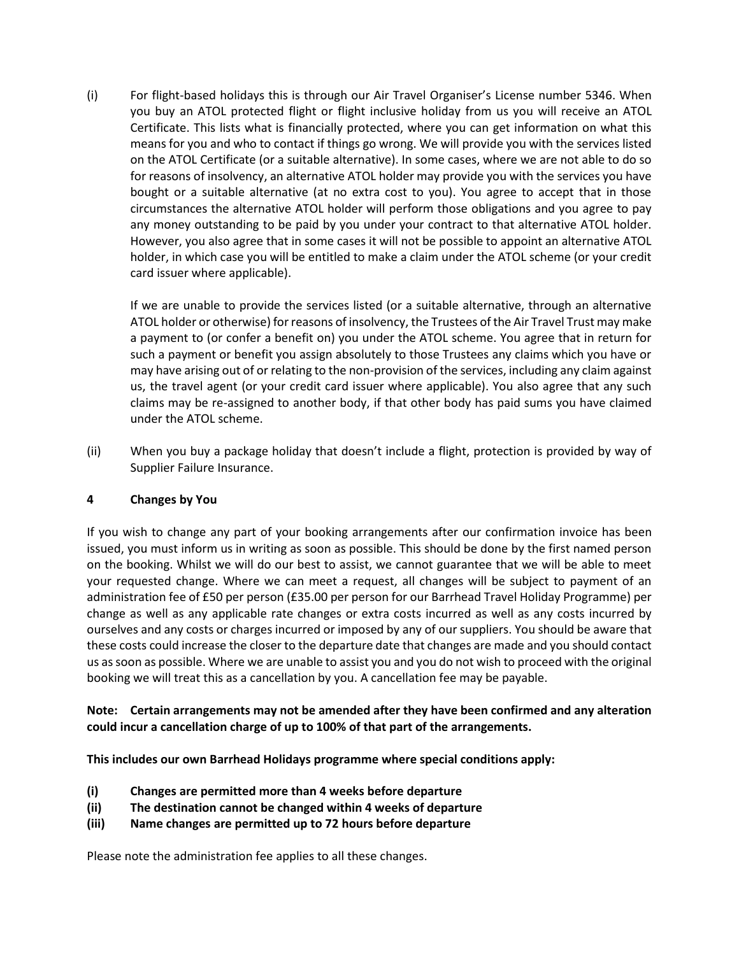(i) For flight-based holidays this is through our Air Travel Organiser's License number 5346. When you buy an ATOL protected flight or flight inclusive holiday from us you will receive an ATOL Certificate. This lists what is financially protected, where you can get information on what this means for you and who to contact if things go wrong. We will provide you with the services listed on the ATOL Certificate (or a suitable alternative). In some cases, where we are not able to do so for reasons of insolvency, an alternative ATOL holder may provide you with the services you have bought or a suitable alternative (at no extra cost to you). You agree to accept that in those circumstances the alternative ATOL holder will perform those obligations and you agree to pay any money outstanding to be paid by you under your contract to that alternative ATOL holder. However, you also agree that in some cases it will not be possible to appoint an alternative ATOL holder, in which case you will be entitled to make a claim under the ATOL scheme (or your credit card issuer where applicable).

If we are unable to provide the services listed (or a suitable alternative, through an alternative ATOL holder or otherwise) for reasons of insolvency, the Trustees of the Air Travel Trust may make a payment to (or confer a benefit on) you under the ATOL scheme. You agree that in return for such a payment or benefit you assign absolutely to those Trustees any claims which you have or may have arising out of or relating to the non-provision of the services, including any claim against us, the travel agent (or your credit card issuer where applicable). You also agree that any such claims may be re-assigned to another body, if that other body has paid sums you have claimed under the ATOL scheme.

(ii) When you buy a package holiday that doesn't include a flight, protection is provided by way of Supplier Failure Insurance.

#### **4 Changes by You**

If you wish to change any part of your booking arrangements after our confirmation invoice has been issued, you must inform us in writing as soon as possible. This should be done by the first named person on the booking. Whilst we will do our best to assist, we cannot guarantee that we will be able to meet your requested change. Where we can meet a request, all changes will be subject to payment of an administration fee of £50 per person (£35.00 per person for our Barrhead Travel Holiday Programme) per change as well as any applicable rate changes or extra costs incurred as well as any costs incurred by ourselves and any costs or charges incurred or imposed by any of our suppliers. You should be aware that these costs could increase the closer to the departure date that changes are made and you should contact us as soon as possible. Where we are unable to assist you and you do not wish to proceed with the original booking we will treat this as a cancellation by you. A cancellation fee may be payable.

## **Note: Certain arrangements may not be amended after they have been confirmed and any alteration could incur a cancellation charge of up to 100% of that part of the arrangements.**

**This includes our own Barrhead Holidays programme where special conditions apply:**

- **(i) Changes are permitted more than 4 weeks before departure**
- **(ii) The destination cannot be changed within 4 weeks of departure**
- **(iii) Name changes are permitted up to 72 hours before departure**

Please note the administration fee applies to all these changes.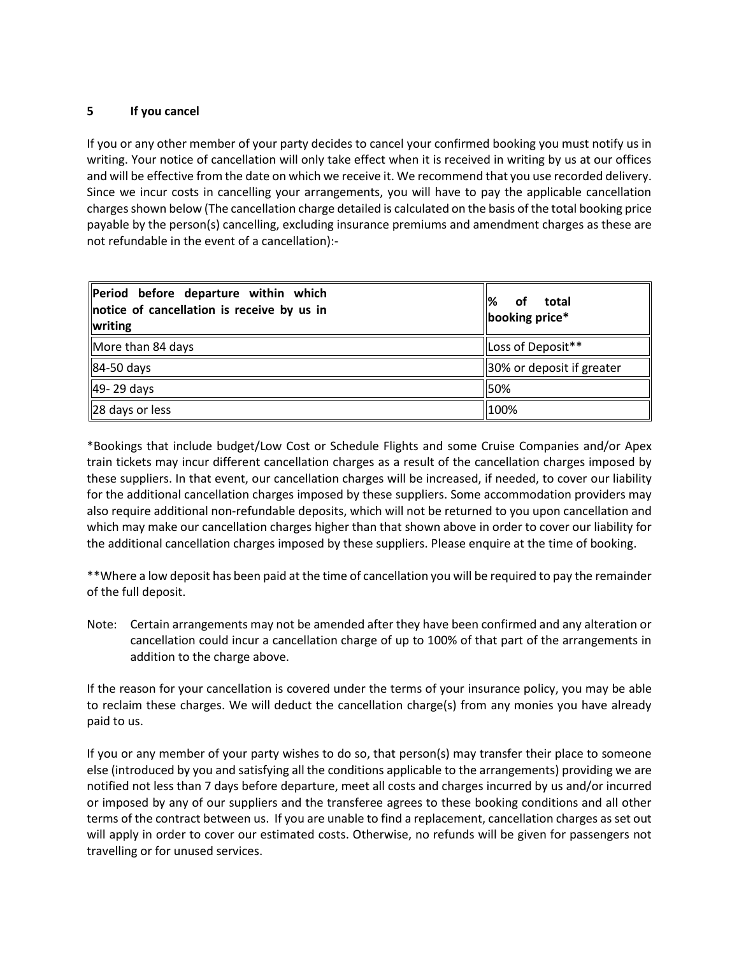## **5 If you cancel**

If you or any other member of your party decides to cancel your confirmed booking you must notify us in writing. Your notice of cancellation will only take effect when it is received in writing by us at our offices and will be effective from the date on which we receive it. We recommend that you use recorded delivery. Since we incur costs in cancelling your arrangements, you will have to pay the applicable cancellation charges shown below (The cancellation charge detailed is calculated on the basis of the total booking price payable by the person(s) cancelling, excluding insurance premiums and amendment charges as these are not refundable in the event of a cancellation):-

| Period before departure within which<br>notice of cancellation is receive by us in<br>writing | $\frac{9}{6}$<br>οf<br>total<br>booking price* |
|-----------------------------------------------------------------------------------------------|------------------------------------------------|
| More than 84 days                                                                             | Loss of Deposit**                              |
| 84-50 days                                                                                    | 30% or deposit if greater                      |
| $49 - 29$ days                                                                                | 50%                                            |
| 28 days or less                                                                               | 100%                                           |

\*Bookings that include budget/Low Cost or Schedule Flights and some Cruise Companies and/or Apex train tickets may incur different cancellation charges as a result of the cancellation charges imposed by these suppliers. In that event, our cancellation charges will be increased, if needed, to cover our liability for the additional cancellation charges imposed by these suppliers. Some accommodation providers may also require additional non-refundable deposits, which will not be returned to you upon cancellation and which may make our cancellation charges higher than that shown above in order to cover our liability for the additional cancellation charges imposed by these suppliers. Please enquire at the time of booking.

\*\*Where a low deposit has been paid at the time of cancellation you will be required to pay the remainder of the full deposit.

Note: Certain arrangements may not be amended after they have been confirmed and any alteration or cancellation could incur a cancellation charge of up to 100% of that part of the arrangements in addition to the charge above.

If the reason for your cancellation is covered under the terms of your insurance policy, you may be able to reclaim these charges. We will deduct the cancellation charge(s) from any monies you have already paid to us.

If you or any member of your party wishes to do so, that person(s) may transfer their place to someone else (introduced by you and satisfying all the conditions applicable to the arrangements) providing we are notified not less than 7 days before departure, meet all costs and charges incurred by us and/or incurred or imposed by any of our suppliers and the transferee agrees to these booking conditions and all other terms of the contract between us. If you are unable to find a replacement, cancellation charges as set out will apply in order to cover our estimated costs. Otherwise, no refunds will be given for passengers not travelling or for unused services.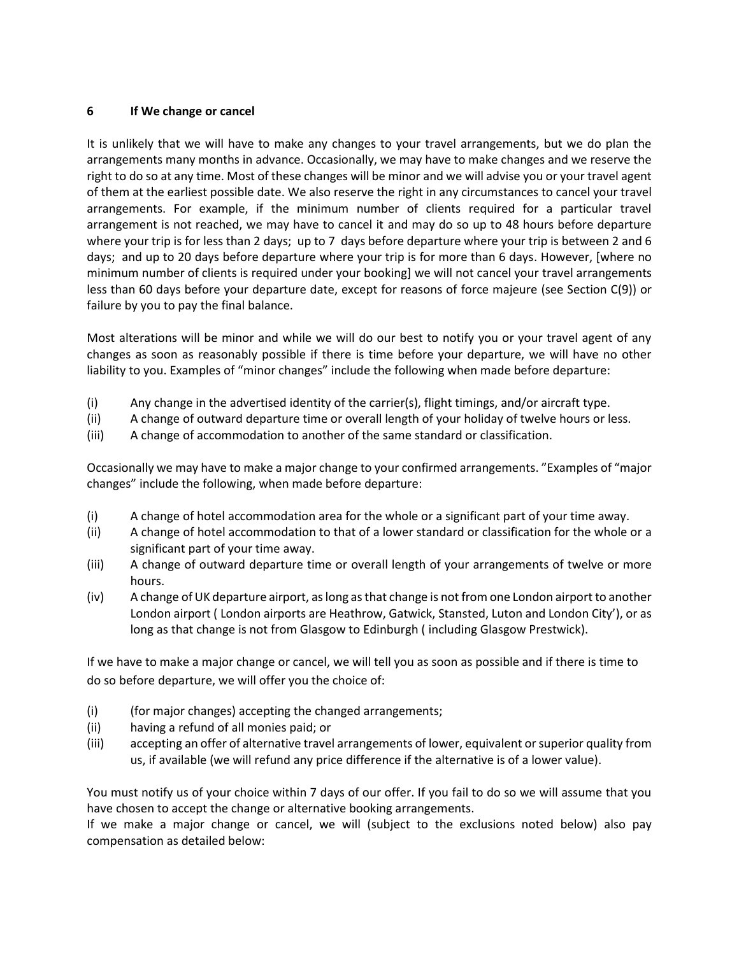#### **6 If We change or cancel**

It is unlikely that we will have to make any changes to your travel arrangements, but we do plan the arrangements many months in advance. Occasionally, we may have to make changes and we reserve the right to do so at any time. Most of these changes will be minor and we will advise you or your travel agent of them at the earliest possible date. We also reserve the right in any circumstances to cancel your travel arrangements. For example, if the minimum number of clients required for a particular travel arrangement is not reached, we may have to cancel it and may do so up to 48 hours before departure where your trip is for less than 2 days; up to 7 days before departure where your trip is between 2 and 6 days; and up to 20 days before departure where your trip is for more than 6 days. However, [where no minimum number of clients is required under your booking] we will not cancel your travel arrangements less than 60 days before your departure date, except for reasons of force majeure (see Section C(9)) or failure by you to pay the final balance.

Most alterations will be minor and while we will do our best to notify you or your travel agent of any changes as soon as reasonably possible if there is time before your departure, we will have no other liability to you. Examples of "minor changes" include the following when made before departure:

- (i) Any change in the advertised identity of the carrier(s), flight timings, and/or aircraft type.
- (ii) A change of outward departure time or overall length of your holiday of twelve hours or less.
- (iii) A change of accommodation to another of the same standard or classification.

Occasionally we may have to make a major change to your confirmed arrangements. "Examples of "major changes" include the following, when made before departure:

- (i) A change of hotel accommodation area for the whole or a significant part of your time away.
- (ii) A change of hotel accommodation to that of a lower standard or classification for the whole or a significant part of your time away.
- (iii) A change of outward departure time or overall length of your arrangements of twelve or more hours.
- (iv) A change of UK departure airport, as long as that change is not from one London airport to another London airport ( London airports are Heathrow, Gatwick, Stansted, Luton and London City'), or as long as that change is not from Glasgow to Edinburgh ( including Glasgow Prestwick).

If we have to make a major change or cancel, we will tell you as soon as possible and if there is time to do so before departure, we will offer you the choice of:

- (i) (for major changes) accepting the changed arrangements;
- (ii) having a refund of all monies paid; or
- (iii) accepting an offer of alternative travel arrangements of lower, equivalent or superior quality from us, if available (we will refund any price difference if the alternative is of a lower value).

You must notify us of your choice within 7 days of our offer. If you fail to do so we will assume that you have chosen to accept the change or alternative booking arrangements.

If we make a major change or cancel, we will (subject to the exclusions noted below) also pay compensation as detailed below: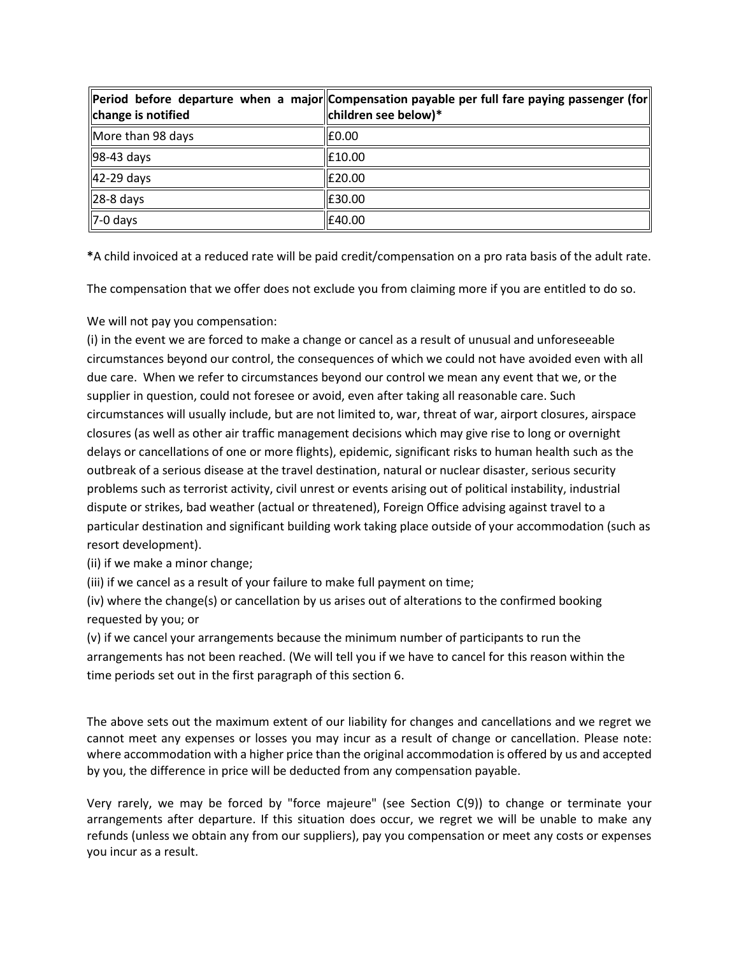| change is notified     | Period before departure when a major Compensation payable per full fare paying passenger (for<br>children see below)* |
|------------------------|-----------------------------------------------------------------------------------------------------------------------|
| More than 98 days      | E0.00                                                                                                                 |
| $\parallel$ 98-43 days | £10.00                                                                                                                |
| $\parallel$ 42-29 days | E20.00                                                                                                                |
| $\ $ 28-8 days         | £30.00                                                                                                                |
| $\vert$ 7-0 days       | E40.00                                                                                                                |

**\***A child invoiced at a reduced rate will be paid credit/compensation on a pro rata basis of the adult rate.

The compensation that we offer does not exclude you from claiming more if you are entitled to do so.

We will not pay you compensation:

(i) in the event we are forced to make a change or cancel as a result of unusual and unforeseeable circumstances beyond our control, the consequences of which we could not have avoided even with all due care. When we refer to circumstances beyond our control we mean any event that we, or the supplier in question, could not foresee or avoid, even after taking all reasonable care. Such circumstances will usually include, but are not limited to, war, threat of war, airport closures, airspace closures (as well as other air traffic management decisions which may give rise to long or overnight delays or cancellations of one or more flights), epidemic, significant risks to human health such as the outbreak of a serious disease at the travel destination, natural or nuclear disaster, serious security problems such as terrorist activity, civil unrest or events arising out of political instability, industrial dispute or strikes, bad weather (actual or threatened), Foreign Office advising against travel to a particular destination and significant building work taking place outside of your accommodation (such as resort development).

(ii) if we make a minor change;

(iii) if we cancel as a result of your failure to make full payment on time;

(iv) where the change(s) or cancellation by us arises out of alterations to the confirmed booking requested by you; or

(v) if we cancel your arrangements because the minimum number of participants to run the arrangements has not been reached. (We will tell you if we have to cancel for this reason within the time periods set out in the first paragraph of this section 6.

The above sets out the maximum extent of our liability for changes and cancellations and we regret we cannot meet any expenses or losses you may incur as a result of change or cancellation. Please note: where accommodation with a higher price than the original accommodation is offered by us and accepted by you, the difference in price will be deducted from any compensation payable.

Very rarely, we may be forced by "force majeure" (see Section C(9)) to change or terminate your arrangements after departure. If this situation does occur, we regret we will be unable to make any refunds (unless we obtain any from our suppliers), pay you compensation or meet any costs or expenses you incur as a result.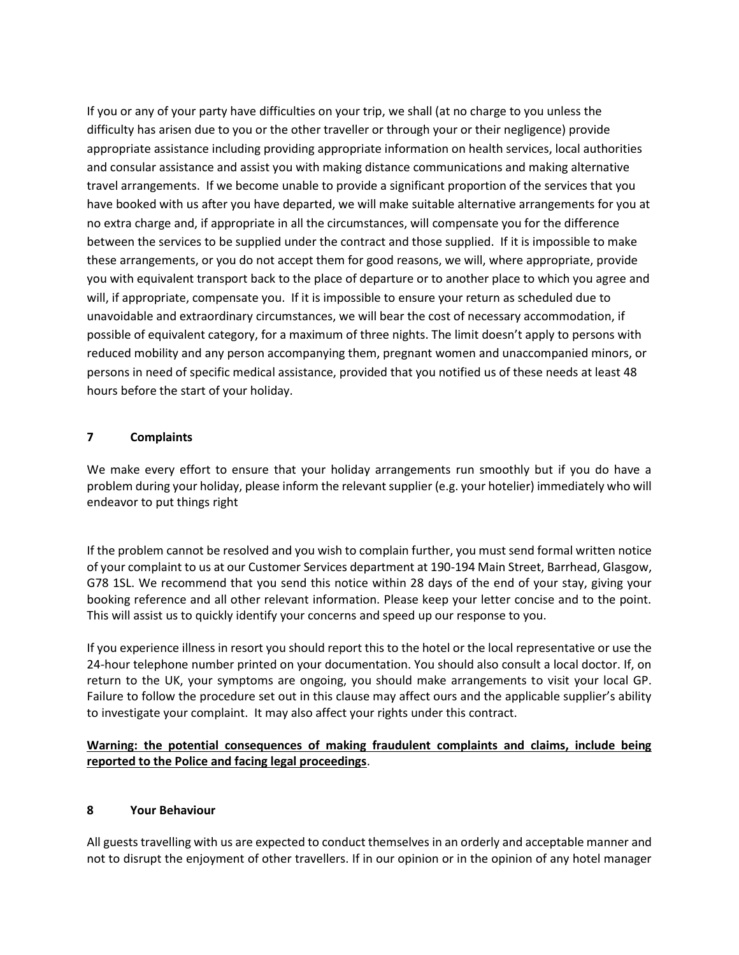If you or any of your party have difficulties on your trip, we shall (at no charge to you unless the difficulty has arisen due to you or the other traveller or through your or their negligence) provide appropriate assistance including providing appropriate information on health services, local authorities and consular assistance and assist you with making distance communications and making alternative travel arrangements. If we become unable to provide a significant proportion of the services that you have booked with us after you have departed, we will make suitable alternative arrangements for you at no extra charge and, if appropriate in all the circumstances, will compensate you for the difference between the services to be supplied under the contract and those supplied. If it is impossible to make these arrangements, or you do not accept them for good reasons, we will, where appropriate, provide you with equivalent transport back to the place of departure or to another place to which you agree and will, if appropriate, compensate you. If it is impossible to ensure your return as scheduled due to unavoidable and extraordinary circumstances, we will bear the cost of necessary accommodation, if possible of equivalent category, for a maximum of three nights. The limit doesn't apply to persons with reduced mobility and any person accompanying them, pregnant women and unaccompanied minors, or persons in need of specific medical assistance, provided that you notified us of these needs at least 48 hours before the start of your holiday.

#### **7 Complaints**

We make every effort to ensure that your holiday arrangements run smoothly but if you do have a problem during your holiday, please inform the relevant supplier (e.g. your hotelier) immediately who will endeavor to put things right

If the problem cannot be resolved and you wish to complain further, you must send formal written notice of your complaint to us at our Customer Services department at 190-194 Main Street, Barrhead, Glasgow, G78 1SL. We recommend that you send this notice within 28 days of the end of your stay, giving your booking reference and all other relevant information. Please keep your letter concise and to the point. This will assist us to quickly identify your concerns and speed up our response to you.

If you experience illness in resort you should report this to the hotel or the local representative or use the 24-hour telephone number printed on your documentation. You should also consult a local doctor. If, on return to the UK, your symptoms are ongoing, you should make arrangements to visit your local GP. Failure to follow the procedure set out in this clause may affect ours and the applicable supplier's ability to investigate your complaint. It may also affect your rights under this contract.

## **Warning: the potential consequences of making fraudulent complaints and claims, include being reported to the Police and facing legal proceedings**.

#### **8 Your Behaviour**

All guests travelling with us are expected to conduct themselves in an orderly and acceptable manner and not to disrupt the enjoyment of other travellers. If in our opinion or in the opinion of any hotel manager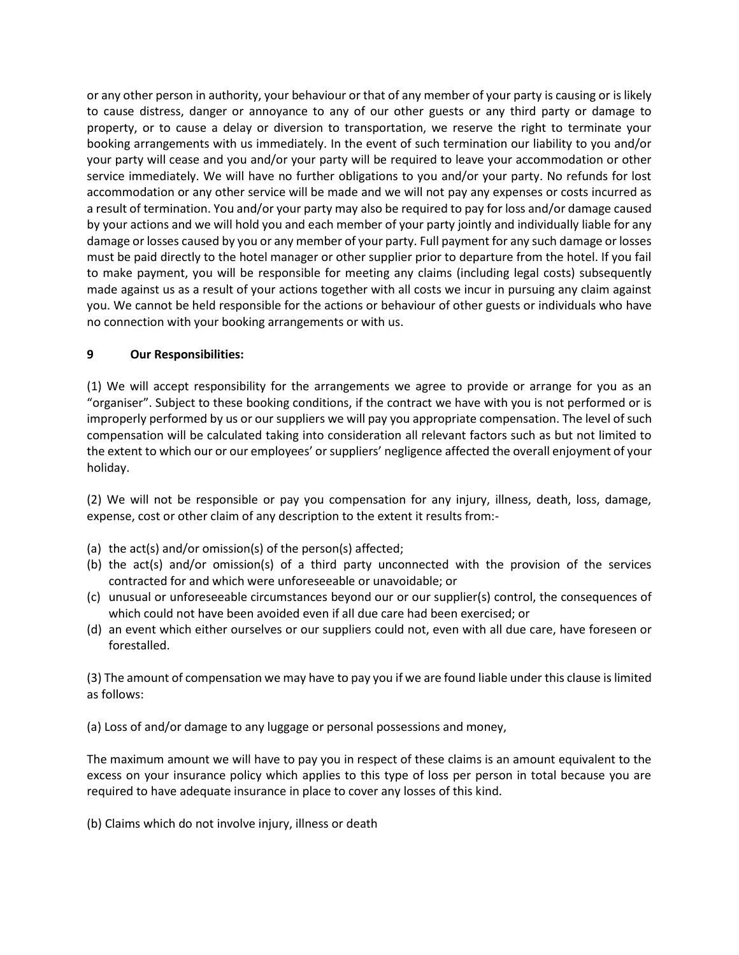or any other person in authority, your behaviour or that of any member of your party is causing or is likely to cause distress, danger or annoyance to any of our other guests or any third party or damage to property, or to cause a delay or diversion to transportation, we reserve the right to terminate your booking arrangements with us immediately. In the event of such termination our liability to you and/or your party will cease and you and/or your party will be required to leave your accommodation or other service immediately. We will have no further obligations to you and/or your party. No refunds for lost accommodation or any other service will be made and we will not pay any expenses or costs incurred as a result of termination. You and/or your party may also be required to pay for loss and/or damage caused by your actions and we will hold you and each member of your party jointly and individually liable for any damage or losses caused by you or any member of your party. Full payment for any such damage or losses must be paid directly to the hotel manager or other supplier prior to departure from the hotel. If you fail to make payment, you will be responsible for meeting any claims (including legal costs) subsequently made against us as a result of your actions together with all costs we incur in pursuing any claim against you. We cannot be held responsible for the actions or behaviour of other guests or individuals who have no connection with your booking arrangements or with us.

## **9 Our Responsibilities:**

(1) We will accept responsibility for the arrangements we agree to provide or arrange for you as an "organiser". Subject to these booking conditions, if the contract we have with you is not performed or is improperly performed by us or our suppliers we will pay you appropriate compensation. The level of such compensation will be calculated taking into consideration all relevant factors such as but not limited to the extent to which our or our employees' or suppliers' negligence affected the overall enjoyment of your holiday.

(2) We will not be responsible or pay you compensation for any injury, illness, death, loss, damage, expense, cost or other claim of any description to the extent it results from:-

- (a) the act(s) and/or omission(s) of the person(s) affected;
- (b) the act(s) and/or omission(s) of a third party unconnected with the provision of the services contracted for and which were unforeseeable or unavoidable; or
- (c) unusual or unforeseeable circumstances beyond our or our supplier(s) control, the consequences of which could not have been avoided even if all due care had been exercised; or
- (d) an event which either ourselves or our suppliers could not, even with all due care, have foreseen or forestalled.

(3) The amount of compensation we may have to pay you if we are found liable under this clause is limited as follows:

(a) Loss of and/or damage to any luggage or personal possessions and money,

The maximum amount we will have to pay you in respect of these claims is an amount equivalent to the excess on your insurance policy which applies to this type of loss per person in total because you are required to have adequate insurance in place to cover any losses of this kind.

(b) Claims which do not involve injury, illness or death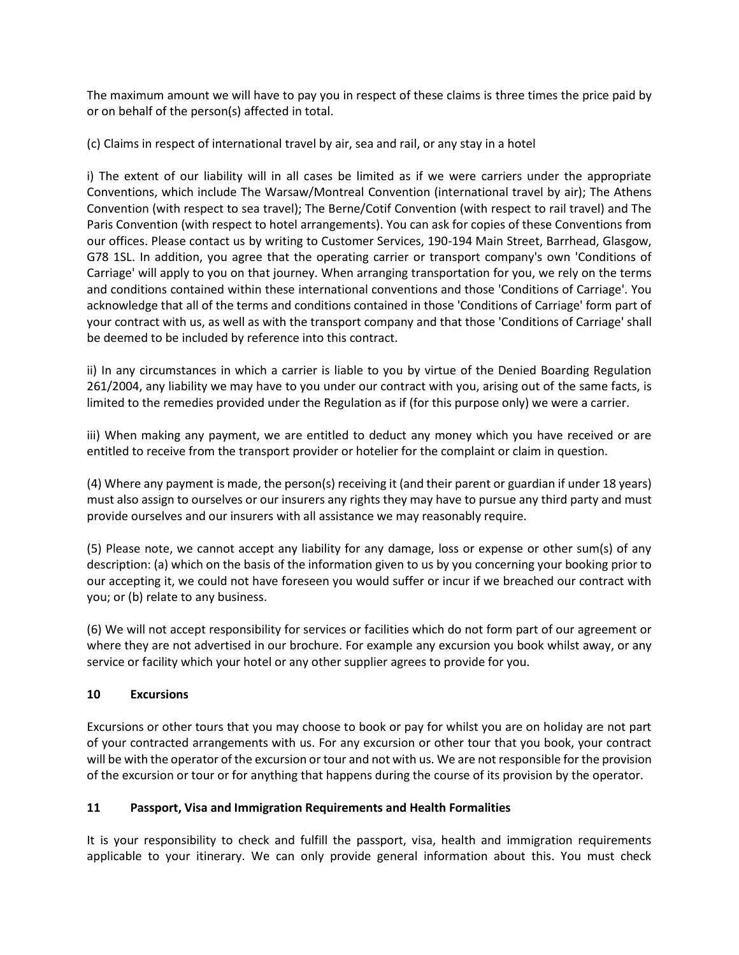The maximum amount we will have to pay you in respect of these claims is three times the price paid by or on behalf of the person(s) affected in total.

(c) Claims in respect of international travel by air, sea and rail, or any stay in a hotel

i) The extent of our liability will in all cases be limited as if we were carriers under the appropriate Conventions, which include The Warsaw/Montreal Convention (international travel by air); The Athens Convention (with respect to sea travel); The Berne/Cotif Convention (with respect to rail travel) and The Paris Convention (with respect to hotel arrangements). You can ask for copies of these Conventions from our offices. Please contact us by writing to Customer Services, 190-194 Main Street, Barrhead, Glasgow, G78 1SL. In addition, you agree that the operating carrier or transport company's own 'Conditions of Carriage' will apply to you on that journey. When arranging transportation for you, we rely on the terms and conditions contained within these international conventions and those 'Conditions of Carriage'. You acknowledge that all of the terms and conditions contained in those 'Conditions of Carriage' form part of your contract with us, as well as with the transport company and that those 'Conditions of Carriage' shall be deemed to be included by reference into this contract.

ii) In any circumstances in which a carrier is liable to you by virtue of the Denied Boarding Regulation 261/2004, any liability we may have to you under our contract with you, arising out of the same facts, is limited to the remedies provided under the Regulation as if (for this purpose only) we were a carrier.

iii) When making any payment, we are entitled to deduct any money which you have received or are entitled to receive from the transport provider or hotelier for the complaint or claim in question.

(4) Where any payment is made, the person(s) receiving it (and their parent or guardian if under 18 years) must also assign to ourselves or our insurers any rights they may have to pursue any third party and must provide ourselves and our insurers with all assistance we may reasonably require.

(5) Please note, we cannot accept any liability for any damage, loss or expense or other sum(s) of any description: (a) which on the basis of the information given to us by you concerning your booking prior to our accepting it, we could not have foreseen you would suffer or incur if we breached our contract with you; or (b) relate to any business.

(6) We will not accept responsibility for services or facilities which do not form part of our agreement or where they are not advertised in our brochure. For example any excursion you book whilst away, or any service or facility which your hotel or any other supplier agrees to provide for you.

## **10 Excursions**

Excursions or other tours that you may choose to book or pay for whilst you are on holiday are not part of your contracted arrangements with us. For any excursion or other tour that you book, your contract will be with the operator of the excursion or tour and not with us. We are not responsible for the provision of the excursion or tour or for anything that happens during the course of its provision by the operator.

#### **11 Passport, Visa and Immigration Requirements and Health Formalities**

It is your responsibility to check and fulfill the passport, visa, health and immigration requirements applicable to your itinerary. We can only provide general information about this. You must check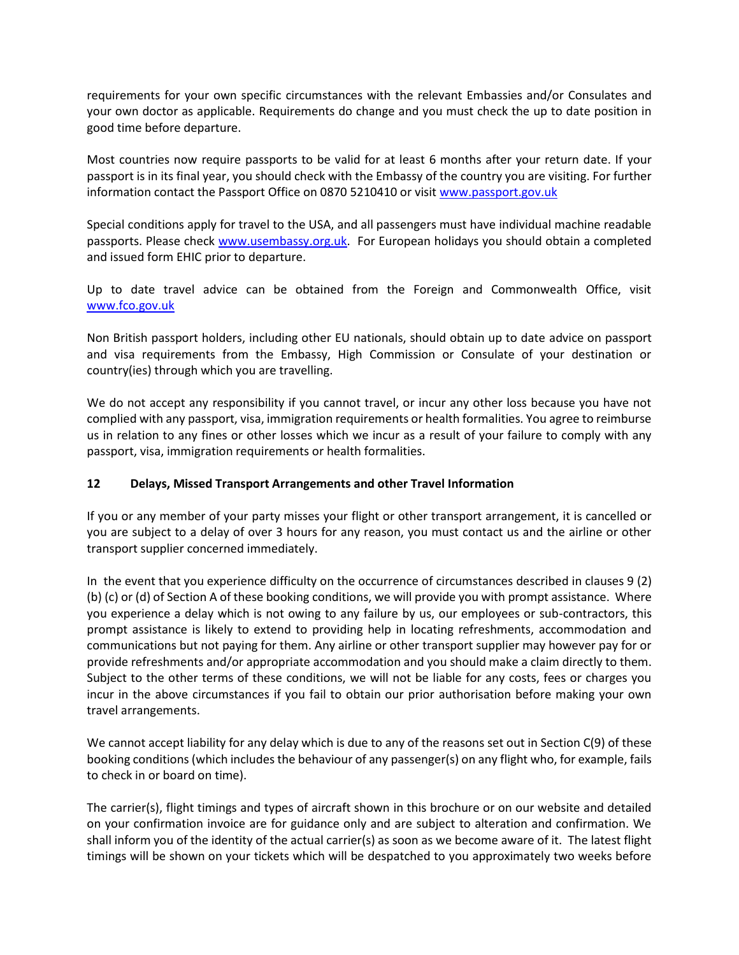requirements for your own specific circumstances with the relevant Embassies and/or Consulates and your own doctor as applicable. Requirements do change and you must check the up to date position in good time before departure.

Most countries now require passports to be valid for at least 6 months after your return date. If your passport is in its final year, you should check with the Embassy of the country you are visiting. For further information contact the Passport Office on 0870 5210410 or visit [www.passport.gov.uk](http://www.passport.gov.uk/)

Special conditions apply for travel to the USA, and all passengers must have individual machine readable passports. Please check [www.usembassy.org.uk.](http://www.usembassy.org.uk/) For European holidays you should obtain a completed and issued form EHIC prior to departure.

Up to date travel advice can be obtained from the Foreign and Commonwealth Office, visit [www.fco.gov.uk](http://www.fco.gov.uk/)

Non British passport holders, including other EU nationals, should obtain up to date advice on passport and visa requirements from the Embassy, High Commission or Consulate of your destination or country(ies) through which you are travelling.

We do not accept any responsibility if you cannot travel, or incur any other loss because you have not complied with any passport, visa, immigration requirements or health formalities. You agree to reimburse us in relation to any fines or other losses which we incur as a result of your failure to comply with any passport, visa, immigration requirements or health formalities.

## **12 Delays, Missed Transport Arrangements and other Travel Information**

If you or any member of your party misses your flight or other transport arrangement, it is cancelled or you are subject to a delay of over 3 hours for any reason, you must contact us and the airline or other transport supplier concerned immediately.

In the event that you experience difficulty on the occurrence of circumstances described in clauses 9 (2) (b) (c) or (d) of Section A of these booking conditions, we will provide you with prompt assistance. Where you experience a delay which is not owing to any failure by us, our employees or sub-contractors, this prompt assistance is likely to extend to providing help in locating refreshments, accommodation and communications but not paying for them. Any airline or other transport supplier may however pay for or provide refreshments and/or appropriate accommodation and you should make a claim directly to them. Subject to the other terms of these conditions, we will not be liable for any costs, fees or charges you incur in the above circumstances if you fail to obtain our prior authorisation before making your own travel arrangements.

We cannot accept liability for any delay which is due to any of the reasons set out in Section C(9) of these booking conditions (which includes the behaviour of any passenger(s) on any flight who, for example, fails to check in or board on time).

The carrier(s), flight timings and types of aircraft shown in this brochure or on our website and detailed on your confirmation invoice are for guidance only and are subject to alteration and confirmation. We shall inform you of the identity of the actual carrier(s) as soon as we become aware of it. The latest flight timings will be shown on your tickets which will be despatched to you approximately two weeks before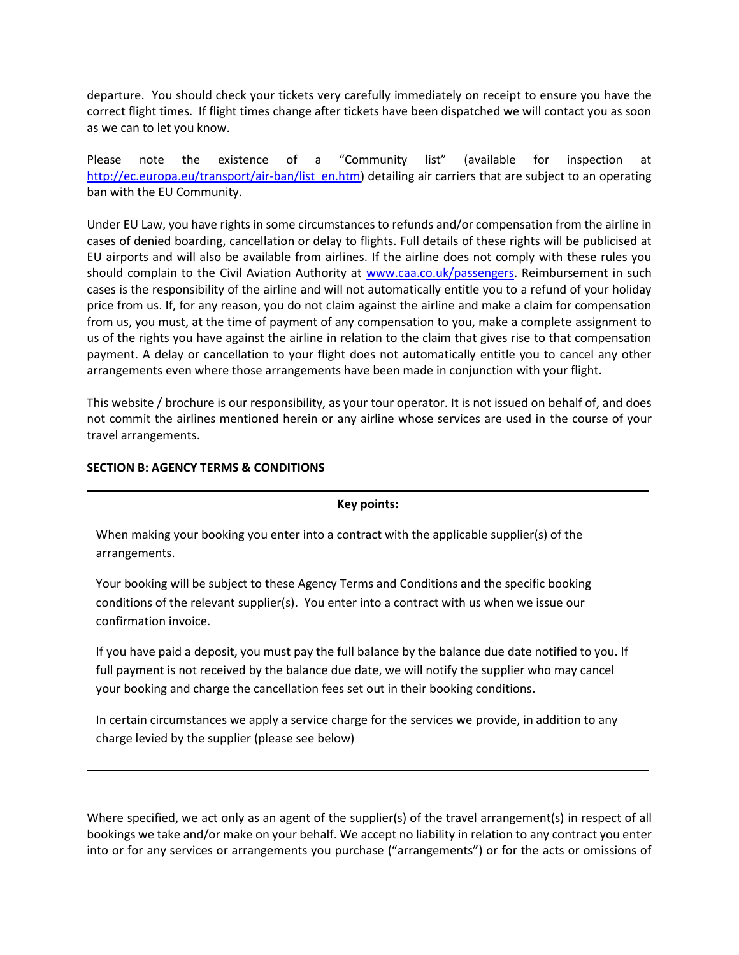departure. You should check your tickets very carefully immediately on receipt to ensure you have the correct flight times. If flight times change after tickets have been dispatched we will contact you as soon as we can to let you know.

Please note the existence of a "Community list" (available for inspection at [http://ec.europa.eu/transport/air-ban/list\\_en.htm\)](http://ec.europa.eu/transport/air-ban/list_en.htm) detailing air carriers that are subject to an operating ban with the EU Community.

Under EU Law, you have rights in some circumstances to refunds and/or compensation from the airline in cases of denied boarding, cancellation or delay to flights. Full details of these rights will be publicised at EU airports and will also be available from airlines. If the airline does not comply with these rules you should complain to the Civil Aviation Authority at [www.caa.co.uk/passengers.](http://www.caa.co.uk/passengers) Reimbursement in such cases is the responsibility of the airline and will not automatically entitle you to a refund of your holiday price from us. If, for any reason, you do not claim against the airline and make a claim for compensation from us, you must, at the time of payment of any compensation to you, make a complete assignment to us of the rights you have against the airline in relation to the claim that gives rise to that compensation payment. A delay or cancellation to your flight does not automatically entitle you to cancel any other arrangements even where those arrangements have been made in conjunction with your flight.

This website / brochure is our responsibility, as your tour operator. It is not issued on behalf of, and does not commit the airlines mentioned herein or any airline whose services are used in the course of your travel arrangements.

#### **SECTION B: AGENCY TERMS & CONDITIONS**

#### **Key points:**

When making your booking you enter into a contract with the applicable supplier(s) of the arrangements.

Your booking will be subject to these Agency Terms and Conditions and the specific booking conditions of the relevant supplier(s). You enter into a contract with us when we issue our confirmation invoice.

If you have paid a deposit, you must pay the full balance by the balance due date notified to you. If full payment is not received by the balance due date, we will notify the supplier who may cancel your booking and charge the cancellation fees set out in their booking conditions.

In certain circumstances we apply a service charge for the services we provide, in addition to any charge levied by the supplier (please see below)

Where specified, we act only as an agent of the supplier(s) of the travel arrangement(s) in respect of all bookings we take and/or make on your behalf. We accept no liability in relation to any contract you enter into or for any services or arrangements you purchase ("arrangements") or for the acts or omissions of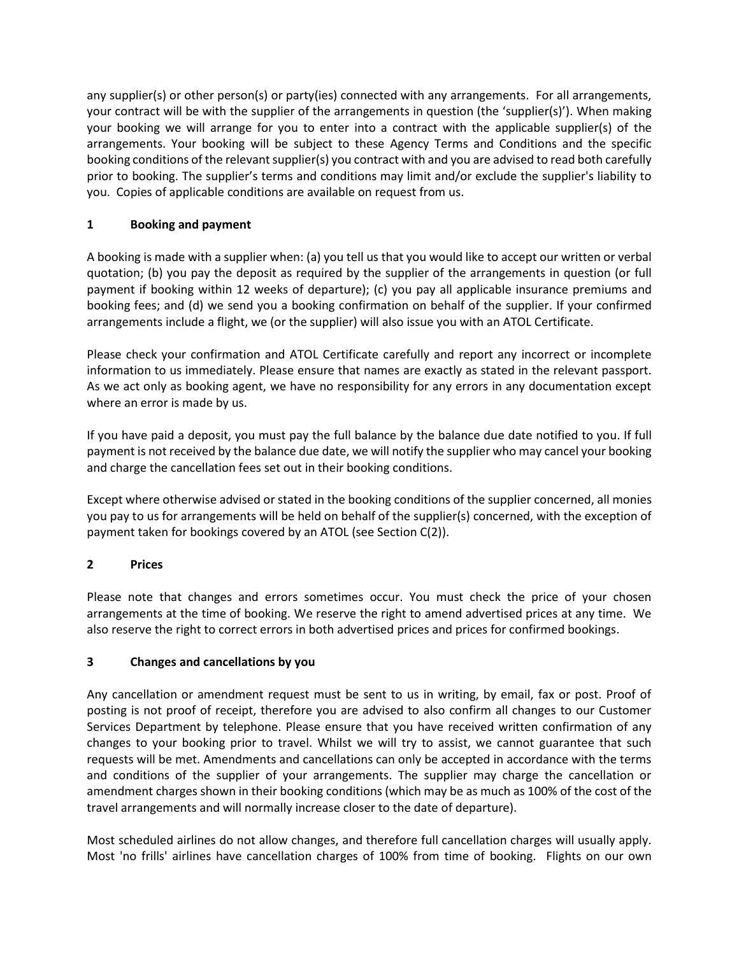any supplier(s) or other person(s) or party(ies) connected with any arrangements. For all arrangements, your contract will be with the supplier of the arrangements in question (the 'supplier(s)'). When making your booking we will arrange for you to enter into a contract with the applicable supplier(s) of the arrangements. Your booking will be subject to these Agency Terms and Conditions and the specific booking conditions of the relevant supplier(s) you contract with and you are advised to read both carefully prior to booking. The supplier's terms and conditions may limit and/or exclude the supplier's liability to you. Copies of applicable conditions are available on request from us.

# **1 Booking and payment**

A booking is made with a supplier when: (a) you tell us that you would like to accept our written or verbal quotation; (b) you pay the deposit as required by the supplier of the arrangements in question (or full payment if booking within 12 weeks of departure); (c) you pay all applicable insurance premiums and booking fees; and (d) we send you a booking confirmation on behalf of the supplier. If your confirmed arrangements include a flight, we (or the supplier) will also issue you with an ATOL Certificate.

Please check your confirmation and ATOL Certificate carefully and report any incorrect or incomplete information to us immediately. Please ensure that names are exactly as stated in the relevant passport. As we act only as booking agent, we have no responsibility for any errors in any documentation except where an error is made by us.

If you have paid a deposit, you must pay the full balance by the balance due date notified to you. If full payment is not received by the balance due date, we will notify the supplier who may cancel your booking and charge the cancellation fees set out in their booking conditions.

Except where otherwise advised or stated in the booking conditions of the supplier concerned, all monies you pay to us for arrangements will be held on behalf of the supplier(s) concerned, with the exception of payment taken for bookings covered by an ATOL (see Section C(2)).

# **2 Prices**

Please note that changes and errors sometimes occur. You must check the price of your chosen arrangements at the time of booking. We reserve the right to amend advertised prices at any time. We also reserve the right to correct errors in both advertised prices and prices for confirmed bookings.

## **3 Changes and cancellations by you**

Any cancellation or amendment request must be sent to us in writing, by email, fax or post. Proof of posting is not proof of receipt, therefore you are advised to also confirm all changes to our Customer Services Department by telephone. Please ensure that you have received written confirmation of any changes to your booking prior to travel. Whilst we will try to assist, we cannot guarantee that such requests will be met. Amendments and cancellations can only be accepted in accordance with the terms and conditions of the supplier of your arrangements. The supplier may charge the cancellation or amendment charges shown in their booking conditions (which may be as much as 100% of the cost of the travel arrangements and will normally increase closer to the date of departure).

Most scheduled airlines do not allow changes, and therefore full cancellation charges will usually apply. Most 'no frills' airlines have cancellation charges of 100% from time of booking. Flights on our own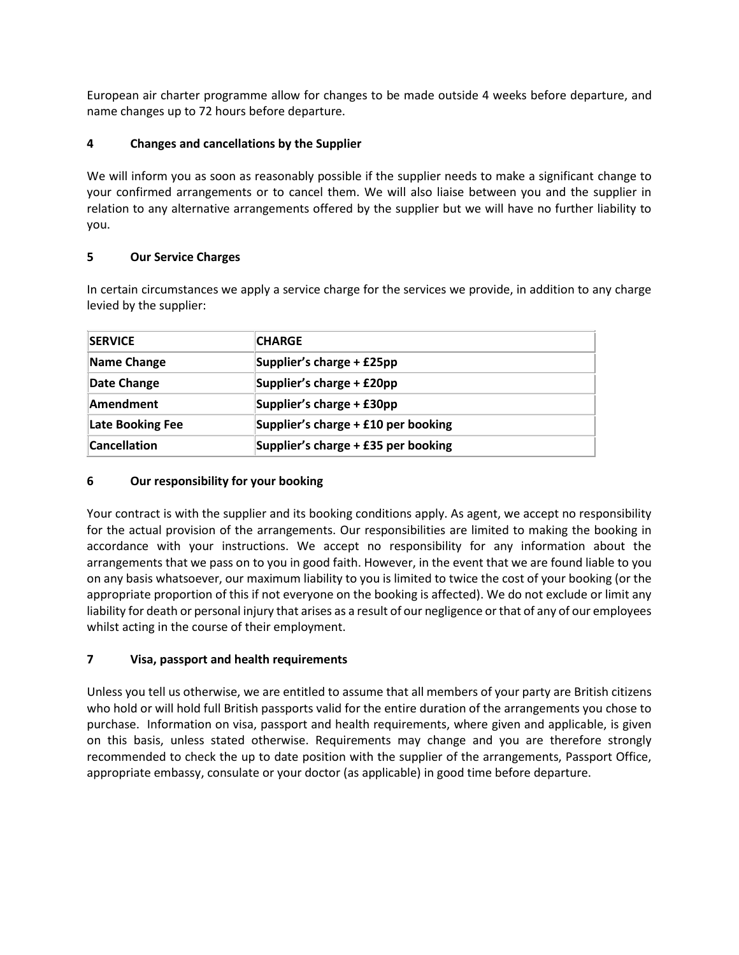European air charter programme allow for changes to be made outside 4 weeks before departure, and name changes up to 72 hours before departure.

## **4 Changes and cancellations by the Supplier**

We will inform you as soon as reasonably possible if the supplier needs to make a significant change to your confirmed arrangements or to cancel them. We will also liaise between you and the supplier in relation to any alternative arrangements offered by the supplier but we will have no further liability to you.

## **5 Our Service Charges**

In certain circumstances we apply a service charge for the services we provide, in addition to any charge levied by the supplier:

| <b>SERVICE</b>          | <b>CHARGE</b>                       |
|-------------------------|-------------------------------------|
| <b>Name Change</b>      | Supplier's charge + £25pp           |
| Date Change             | Supplier's charge + £20pp           |
| Amendment               | Supplier's charge + £30pp           |
| <b>Late Booking Fee</b> | Supplier's charge + £10 per booking |
| <b>Cancellation</b>     | Supplier's charge + £35 per booking |

## **6 Our responsibility for your booking**

Your contract is with the supplier and its booking conditions apply. As agent, we accept no responsibility for the actual provision of the arrangements. Our responsibilities are limited to making the booking in accordance with your instructions. We accept no responsibility for any information about the arrangements that we pass on to you in good faith. However, in the event that we are found liable to you on any basis whatsoever, our maximum liability to you is limited to twice the cost of your booking (or the appropriate proportion of this if not everyone on the booking is affected). We do not exclude or limit any liability for death or personal injury that arises as a result of our negligence or that of any of our employees whilst acting in the course of their employment.

## **7 Visa, passport and health requirements**

Unless you tell us otherwise, we are entitled to assume that all members of your party are British citizens who hold or will hold full British passports valid for the entire duration of the arrangements you chose to purchase. Information on visa, passport and health requirements, where given and applicable, is given on this basis, unless stated otherwise. Requirements may change and you are therefore strongly recommended to check the up to date position with the supplier of the arrangements, Passport Office, appropriate embassy, consulate or your doctor (as applicable) in good time before departure.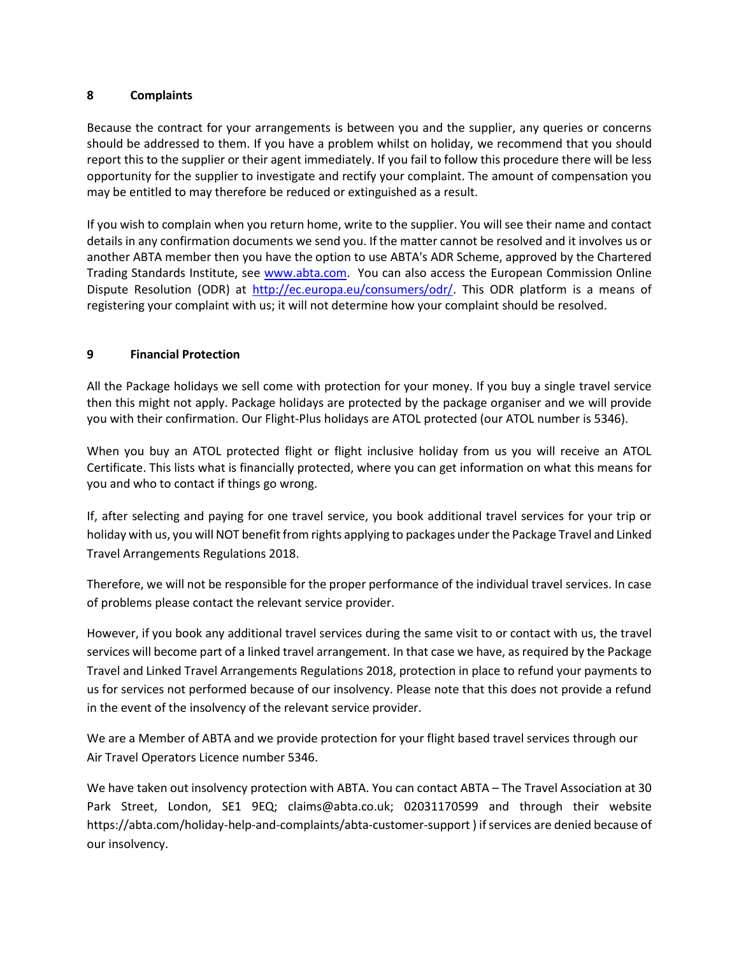#### **8 Complaints**

Because the contract for your arrangements is between you and the supplier, any queries or concerns should be addressed to them. If you have a problem whilst on holiday, we recommend that you should report this to the supplier or their agent immediately. If you fail to follow this procedure there will be less opportunity for the supplier to investigate and rectify your complaint. The amount of compensation you may be entitled to may therefore be reduced or extinguished as a result.

If you wish to complain when you return home, write to the supplier. You will see their name and contact details in any confirmation documents we send you. If the matter cannot be resolved and it involves us or another ABTA member then you have the option to use ABTA's ADR Scheme, approved by the Chartered Trading Standards Institute, see [www.abta.com.](http://www.abta.com/) You can also access the European Commission Online Dispute Resolution (ODR) at [http://ec.europa.eu/consumers/odr/.](http://ec.europa.eu/consumers/odr/) This ODR platform is a means of registering your complaint with us; it will not determine how your complaint should be resolved.

## **9 Financial Protection**

All the Package holidays we sell come with protection for your money. If you buy a single travel service then this might not apply. Package holidays are protected by the package organiser and we will provide you with their confirmation. Our Flight-Plus holidays are ATOL protected (our ATOL number is 5346).

When you buy an ATOL protected flight or flight inclusive holiday from us you will receive an ATOL Certificate. This lists what is financially protected, where you can get information on what this means for you and who to contact if things go wrong.

If, after selecting and paying for one travel service, you book additional travel services for your trip or holiday with us, you will NOT benefit from rights applying to packages under the Package Travel and Linked Travel Arrangements Regulations 2018.

Therefore, we will not be responsible for the proper performance of the individual travel services. In case of problems please contact the relevant service provider.

However, if you book any additional travel services during the same visit to or contact with us, the travel services will become part of a linked travel arrangement. In that case we have, as required by the Package Travel and Linked Travel Arrangements Regulations 2018, protection in place to refund your payments to us for services not performed because of our insolvency. Please note that this does not provide a refund in the event of the insolvency of the relevant service provider.

We are a Member of ABTA and we provide protection for your flight based travel services through our Air Travel Operators Licence number 5346.

We have taken out insolvency protection with ABTA. You can contact ABTA – The Travel Association at 30 Park Street, London, SE1 9EQ; claims@abta.co.uk; 02031170599 and through their website https://abta.com/holiday-help-and-complaints/abta-customer-support ) if services are denied because of our insolvency.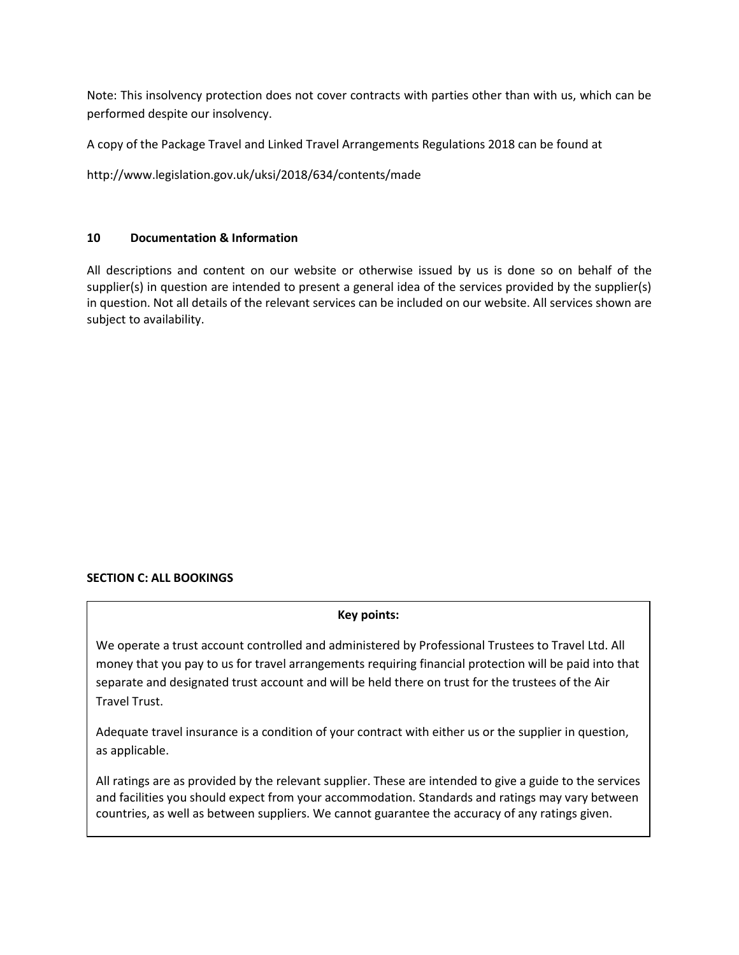Note: This insolvency protection does not cover contracts with parties other than with us, which can be performed despite our insolvency.

A copy of the Package Travel and Linked Travel Arrangements Regulations 2018 can be found at

http://www.legislation.gov.uk/uksi/2018/634/contents/made

## **10 Documentation & Information**

All descriptions and content on our website or otherwise issued by us is done so on behalf of the supplier(s) in question are intended to present a general idea of the services provided by the supplier(s) in question. Not all details of the relevant services can be included on our website. All services shown are subject to availability.

#### **SECTION C: ALL BOOKINGS**

#### **Key points:**

We operate a trust account controlled and administered by Professional Trustees to Travel Ltd. All money that you pay to us for travel arrangements requiring financial protection will be paid into that separate and designated trust account and will be held there on trust for the trustees of the Air Travel Trust.

Adequate travel insurance is a condition of your contract with either us or the supplier in question, as applicable.

All ratings are as provided by the relevant supplier. These are intended to give a guide to the services and facilities you should expect from your accommodation. Standards and ratings may vary between countries, as well as between suppliers. We cannot guarantee the accuracy of any ratings given.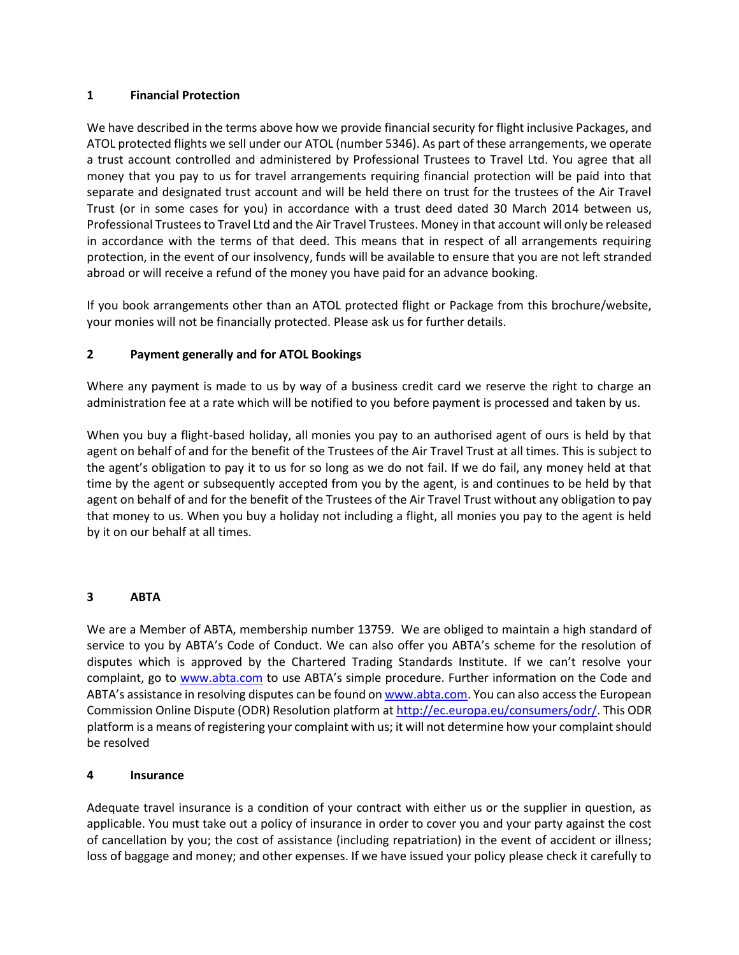## **1 Financial Protection**

We have described in the terms above how we provide financial security for flight inclusive Packages, and ATOL protected flights we sell under our ATOL (number 5346). As part of these arrangements, we operate a trust account controlled and administered by Professional Trustees to Travel Ltd. You agree that all money that you pay to us for travel arrangements requiring financial protection will be paid into that separate and designated trust account and will be held there on trust for the trustees of the Air Travel Trust (or in some cases for you) in accordance with a trust deed dated 30 March 2014 between us, Professional Trustees to Travel Ltd and the Air Travel Trustees. Money in that account will only be released in accordance with the terms of that deed. This means that in respect of all arrangements requiring protection, in the event of our insolvency, funds will be available to ensure that you are not left stranded abroad or will receive a refund of the money you have paid for an advance booking.

If you book arrangements other than an ATOL protected flight or Package from this brochure/website, your monies will not be financially protected. Please ask us for further details.

## **2 Payment generally and for ATOL Bookings**

Where any payment is made to us by way of a business credit card we reserve the right to charge an administration fee at a rate which will be notified to you before payment is processed and taken by us.

When you buy a flight-based holiday, all monies you pay to an authorised agent of ours is held by that agent on behalf of and for the benefit of the Trustees of the Air Travel Trust at all times. This is subject to the agent's obligation to pay it to us for so long as we do not fail. If we do fail, any money held at that time by the agent or subsequently accepted from you by the agent, is and continues to be held by that agent on behalf of and for the benefit of the Trustees of the Air Travel Trust without any obligation to pay that money to us. When you buy a holiday not including a flight, all monies you pay to the agent is held by it on our behalf at all times.

#### **3 ABTA**

We are a Member of ABTA, membership number 13759. We are obliged to maintain a high standard of service to you by ABTA's Code of Conduct. We can also offer you ABTA's scheme for the resolution of disputes which is approved by the Chartered Trading Standards Institute. If we can't resolve your complaint, go to [www.abta.com](http://www.abta.com/) to use ABTA's simple procedure. Further information on the Code and ABTA's assistance in resolving disputes can be found on [www.abta.com.](http://www.abta.com/) You can also access the European Commission Online Dispute (ODR) Resolution platform a[t http://ec.europa.eu/consumers/odr/.](http://ec.europa.eu/consumers/odr/) This ODR platform is a means of registering your complaint with us; it will not determine how your complaint should be resolved

#### **4 Insurance**

Adequate travel insurance is a condition of your contract with either us or the supplier in question, as applicable. You must take out a policy of insurance in order to cover you and your party against the cost of cancellation by you; the cost of assistance (including repatriation) in the event of accident or illness; loss of baggage and money; and other expenses. If we have issued your policy please check it carefully to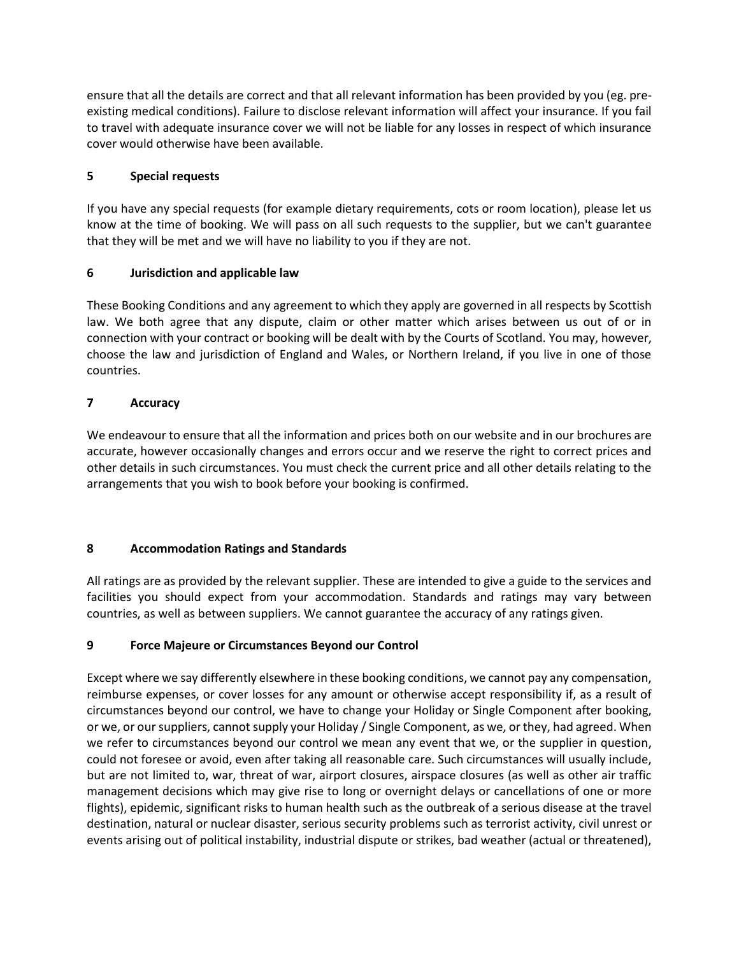ensure that all the details are correct and that all relevant information has been provided by you (eg. preexisting medical conditions). Failure to disclose relevant information will affect your insurance. If you fail to travel with adequate insurance cover we will not be liable for any losses in respect of which insurance cover would otherwise have been available.

# **5 Special requests**

If you have any special requests (for example dietary requirements, cots or room location), please let us know at the time of booking. We will pass on all such requests to the supplier, but we can't guarantee that they will be met and we will have no liability to you if they are not.

## **6 Jurisdiction and applicable law**

These Booking Conditions and any agreement to which they apply are governed in all respects by Scottish law. We both agree that any dispute, claim or other matter which arises between us out of or in connection with your contract or booking will be dealt with by the Courts of Scotland. You may, however, choose the law and jurisdiction of England and Wales, or Northern Ireland, if you live in one of those countries.

# **7 Accuracy**

We endeavour to ensure that all the information and prices both on our website and in our brochures are accurate, however occasionally changes and errors occur and we reserve the right to correct prices and other details in such circumstances. You must check the current price and all other details relating to the arrangements that you wish to book before your booking is confirmed.

# **8 Accommodation Ratings and Standards**

All ratings are as provided by the relevant supplier. These are intended to give a guide to the services and facilities you should expect from your accommodation. Standards and ratings may vary between countries, as well as between suppliers. We cannot guarantee the accuracy of any ratings given.

## **9 Force Majeure or Circumstances Beyond our Control**

Except where we say differently elsewhere in these booking conditions, we cannot pay any compensation, reimburse expenses, or cover losses for any amount or otherwise accept responsibility if, as a result of circumstances beyond our control, we have to change your Holiday or Single Component after booking, or we, or our suppliers, cannot supply your Holiday / Single Component, as we, or they, had agreed. When we refer to circumstances beyond our control we mean any event that we, or the supplier in question, could not foresee or avoid, even after taking all reasonable care. Such circumstances will usually include, but are not limited to, war, threat of war, airport closures, airspace closures (as well as other air traffic management decisions which may give rise to long or overnight delays or cancellations of one or more flights), epidemic, significant risks to human health such as the outbreak of a serious disease at the travel destination, natural or nuclear disaster, serious security problems such as terrorist activity, civil unrest or events arising out of political instability, industrial dispute or strikes, bad weather (actual or threatened),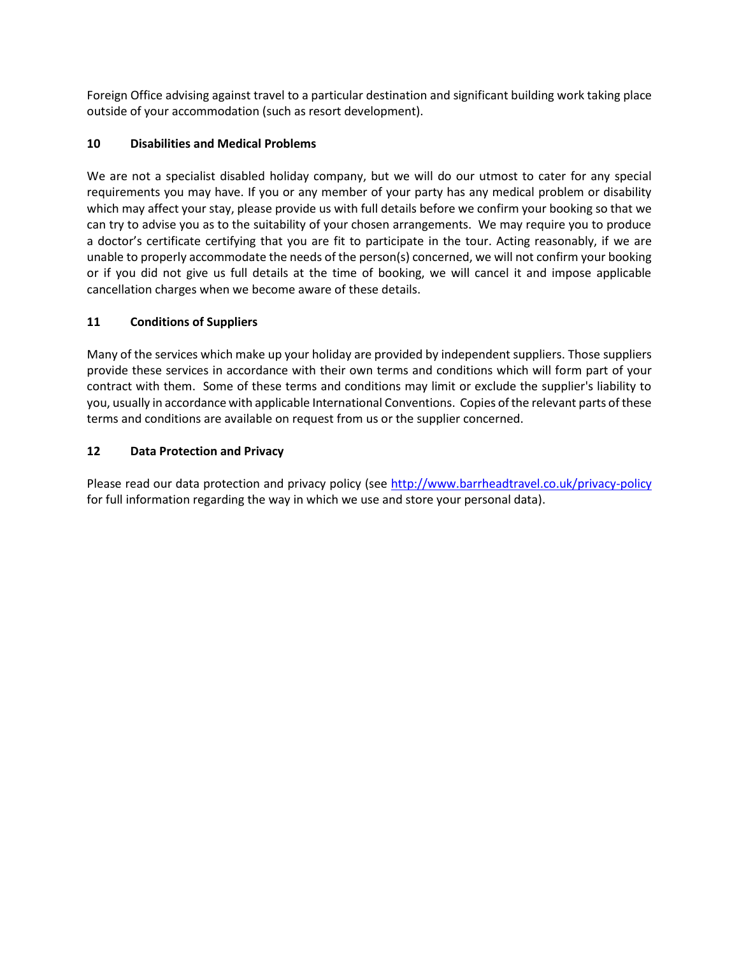Foreign Office advising against travel to a particular destination and significant building work taking place outside of your accommodation (such as resort development).

## **10 Disabilities and Medical Problems**

We are not a specialist disabled holiday company, but we will do our utmost to cater for any special requirements you may have. If you or any member of your party has any medical problem or disability which may affect your stay, please provide us with full details before we confirm your booking so that we can try to advise you as to the suitability of your chosen arrangements. We may require you to produce a doctor's certificate certifying that you are fit to participate in the tour. Acting reasonably, if we are unable to properly accommodate the needs of the person(s) concerned, we will not confirm your booking or if you did not give us full details at the time of booking, we will cancel it and impose applicable cancellation charges when we become aware of these details.

## **11 Conditions of Suppliers**

Many of the services which make up your holiday are provided by independent suppliers. Those suppliers provide these services in accordance with their own terms and conditions which will form part of your contract with them. Some of these terms and conditions may limit or exclude the supplier's liability to you, usually in accordance with applicable International Conventions. Copies of the relevant parts of these terms and conditions are available on request from us or the supplier concerned.

## **12 Data Protection and Privacy**

Please read our data protection and privacy policy (see <http://www.barrheadtravel.co.uk/privacy-policy> for full information regarding the way in which we use and store your personal data).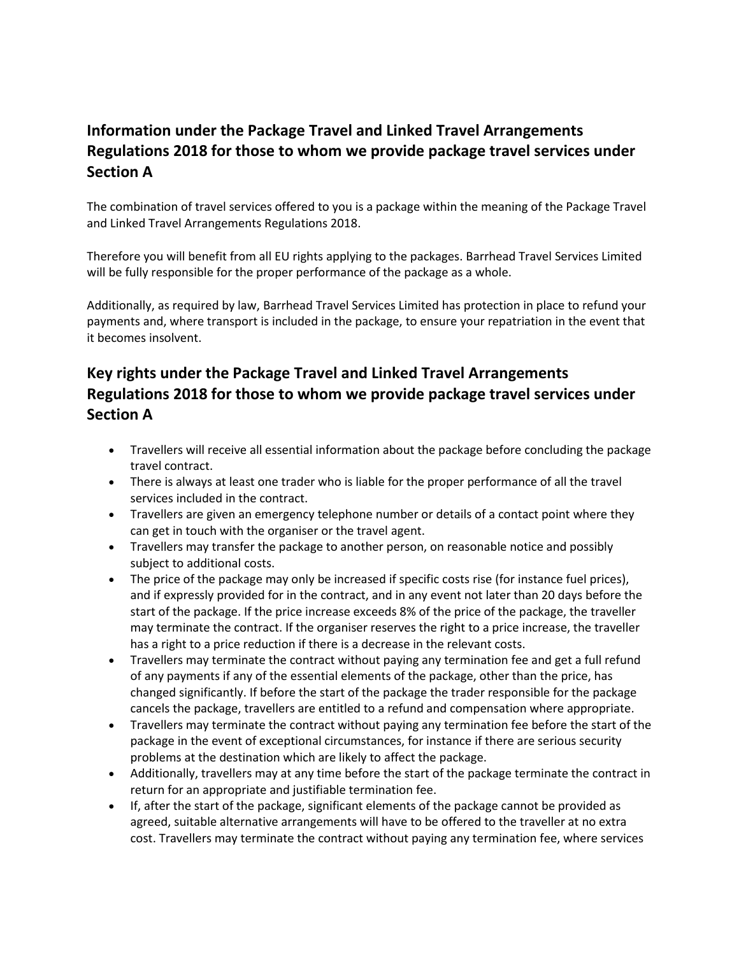# **Information under the Package Travel and Linked Travel Arrangements Regulations 2018 for those to whom we provide package travel services under Section A**

The combination of travel services offered to you is a package within the meaning of the Package Travel and Linked Travel Arrangements Regulations 2018.

Therefore you will benefit from all EU rights applying to the packages. Barrhead Travel Services Limited will be fully responsible for the proper performance of the package as a whole.

Additionally, as required by law, Barrhead Travel Services Limited has protection in place to refund your payments and, where transport is included in the package, to ensure your repatriation in the event that it becomes insolvent.

# **Key rights under the Package Travel and Linked Travel Arrangements Regulations 2018 for those to whom we provide package travel services under Section A**

- Travellers will receive all essential information about the package before concluding the package travel contract.
- There is always at least one trader who is liable for the proper performance of all the travel services included in the contract.
- Travellers are given an emergency telephone number or details of a contact point where they can get in touch with the organiser or the travel agent.
- Travellers may transfer the package to another person, on reasonable notice and possibly subject to additional costs.
- The price of the package may only be increased if specific costs rise (for instance fuel prices), and if expressly provided for in the contract, and in any event not later than 20 days before the start of the package. If the price increase exceeds 8% of the price of the package, the traveller may terminate the contract. If the organiser reserves the right to a price increase, the traveller has a right to a price reduction if there is a decrease in the relevant costs.
- Travellers may terminate the contract without paying any termination fee and get a full refund of any payments if any of the essential elements of the package, other than the price, has changed significantly. If before the start of the package the trader responsible for the package cancels the package, travellers are entitled to a refund and compensation where appropriate.
- Travellers may terminate the contract without paying any termination fee before the start of the package in the event of exceptional circumstances, for instance if there are serious security problems at the destination which are likely to affect the package.
- Additionally, travellers may at any time before the start of the package terminate the contract in return for an appropriate and justifiable termination fee.
- If, after the start of the package, significant elements of the package cannot be provided as agreed, suitable alternative arrangements will have to be offered to the traveller at no extra cost. Travellers may terminate the contract without paying any termination fee, where services